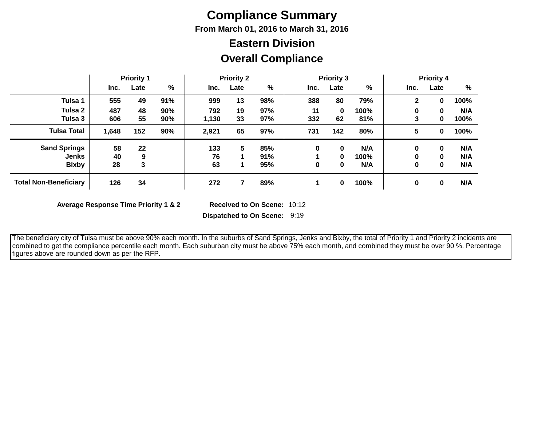# **Compliance Summary**

**From March 01, 2016 to March 31, 2016**

## **Overall Compliance Eastern Division**

|                              | <b>Priority 1</b> |      |     | <b>Priority 2</b> |      |     | <b>Priority 3</b> |      |      | <b>Priority 4</b> |             |      |
|------------------------------|-------------------|------|-----|-------------------|------|-----|-------------------|------|------|-------------------|-------------|------|
|                              | Inc.              | Late | %   | Inc.              | Late | %   | Inc.              | Late | %    | Inc.              | Late        | %    |
| Tulsa 1                      | 555               | 49   | 91% | 999               | 13   | 98% | 388               | 80   | 79%  | 2                 | 0           | 100% |
| Tulsa 2                      | 487               | 48   | 90% | 792               | 19   | 97% | 11                | 0    | 100% | 0                 | 0           | N/A  |
| Tulsa 3                      | 606               | 55   | 90% | 1,130             | 33   | 97% | 332               | 62   | 81%  | 3                 | 0           | 100% |
| <b>Tulsa Total</b>           | 1,648             | 152  | 90% | 2,921             | 65   | 97% | 731               | 142  | 80%  | 5                 | 0           | 100% |
| <b>Sand Springs</b>          | 58                | 22   |     | 133               | 5    | 85% | 0                 | 0    | N/A  | 0                 | 0           | N/A  |
| Jenks                        | 40                | 9    |     | 76                |      | 91% |                   | 0    | 100% | 0                 | 0           | N/A  |
| <b>Bixby</b>                 | 28                | 3    |     | 63                |      | 95% | 0                 | 0    | N/A  | 0                 | $\mathbf 0$ | N/A  |
| <b>Total Non-Beneficiary</b> | 126               | 34   |     | 272               |      | 89% |                   | 0    | 100% | 0                 | 0           | N/A  |

**Average Response Time Priority 1 & 2** 

Received to On Scene: 10:12

**Dispatched to On Scene:** 9:19

 The beneficiary city of Tulsa must be above 90% each month. In the suburbs of Sand Springs, Jenks and Bixby, the total of Priority 1 and Priority 2 incidents are combined to get the compliance percentile each month. Each suburban city must be above 75% each month, and combined they must be over 90 %. Percentage figures above are rounded down as per the RFP.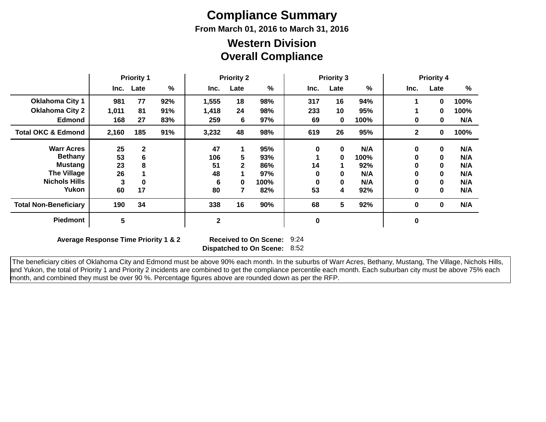# **Compliance Summary**

**From March 01, 2016 to March 31, 2016**

### **Overall Compliance Western Division**

|                               | <b>Priority 1</b> |              | <b>Priority 2</b> |              |              | <b>Priority 3</b> |          |          | <b>Priority 4</b> |              |              |      |
|-------------------------------|-------------------|--------------|-------------------|--------------|--------------|-------------------|----------|----------|-------------------|--------------|--------------|------|
|                               | Inc.              | Late         | %                 | Inc.         | Late         | $\frac{9}{6}$     | Inc.     | Late     | %                 | Inc.         | Late         | %    |
| <b>Oklahoma City 1</b>        | 981               | 77           | 92%               | 1,555        | 18           | 98%               | 317      | 16       | 94%               | 1            | 0            | 100% |
| <b>Oklahoma City 2</b>        | 1,011             | 81           | 91%               | 1,418        | 24           | 98%               | 233      | 10       | 95%               |              | 0            | 100% |
| <b>Edmond</b>                 | 168               | 27           | 83%               | 259          | 6            | 97%               | 69       | 0        | 100%              | 0            | 0            | N/A  |
| <b>Total OKC &amp; Edmond</b> | 2,160             | 185          | 91%               | 3,232        | 48           | 98%               | 619      | 26       | 95%               | $\mathbf{2}$ | 0            | 100% |
| <b>Warr Acres</b>             | 25                | $\mathbf{2}$ |                   | 47           | 1            | 95%               | $\bf{0}$ | $\bf{0}$ | N/A               | 0            | $\mathbf{0}$ | N/A  |
| <b>Bethany</b>                | 53                | 6            |                   | 106          | 5            | 93%               |          | 0        | 100%              | 0            | $\mathbf 0$  | N/A  |
| Mustang                       | 23                | 8            |                   | 51           | $\mathbf{2}$ | 86%               | 14       |          | 92%               | 0            | $\mathbf 0$  | N/A  |
| <b>The Village</b>            | 26                |              |                   | 48           |              | 97%               | O        | 0        | N/A               | 0            | $\mathbf 0$  | N/A  |
| <b>Nichols Hills</b>          | 3                 | 0            |                   | 6            | $\bf{0}$     | 100%              | O        | 0        | N/A               | 0            | $\mathbf 0$  | N/A  |
| Yukon                         | 60                | 17           |                   | 80           | 7            | 82%               | 53       | 4        | 92%               | 0            | $\mathbf 0$  | N/A  |
| <b>Total Non-Beneficiary</b>  | 190               | 34           |                   | 338          | 16           | 90%               | 68       | 5        | 92%               | 0            | $\mathbf{0}$ | N/A  |
| <b>Piedmont</b>               | $5\phantom{.0}$   |              |                   | $\mathbf{2}$ |              |                   | 0        |          |                   | 0            |              |      |

**Average Response Time Priority 1 & 2** 

**Dispatched to On Scene:** 8:52 Received to On Scene: 9:24

 The beneficiary cities of Oklahoma City and Edmond must be above 90% each month. In the suburbs of Warr Acres, Bethany, Mustang, The Village, Nichols Hills, and Yukon, the total of Priority 1 and Priority 2 incidents are combined to get the compliance percentile each month. Each suburban city must be above 75% each month, and combined they must be over 90 %. Percentage figures above are rounded down as per the RFP.